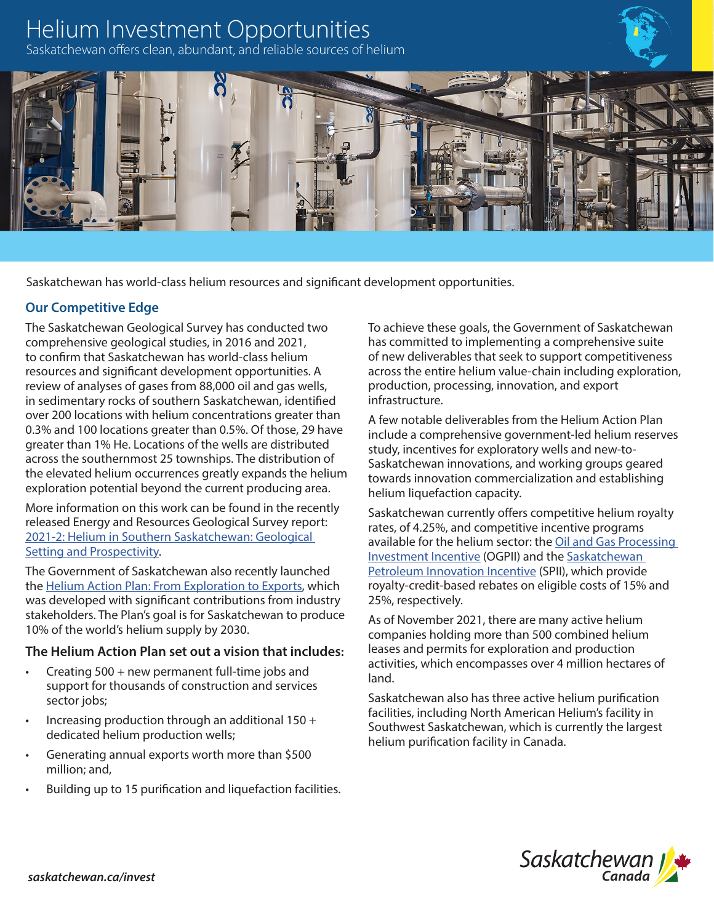# Helium Investment Opportunities

Saskatchewan offers clean, abundant, and reliable sources of helium



Saskatchewan has world-class helium resources and significant development opportunities.

## **Our Competitive Edge**

The Saskatchewan Geological Survey has conducted two comprehensive geological studies, in 2016 and 2021, to confirm that Saskatchewan has world-class helium resources and significant development opportunities. A review of analyses of gases from 88,000 oil and gas wells, in sedimentary rocks of southern Saskatchewan, identified over 200 locations with helium concentrations greater than 0.3% and 100 locations greater than 0.5%. Of those, 29 have greater than 1% He. Locations of the wells are distributed across the southernmost 25 townships. The distribution of the elevated helium occurrences greatly expands the helium exploration potential beyond the current producing area.

More information on this work can be found in the recently released Energy and Resources Geological Survey report: [2021-2: Helium in Southern Saskatchewan: Geological](https://publications.saskatchewan.ca/#/products/115248)  [Setting and Prospectivity](https://publications.saskatchewan.ca/#/products/115248).

The Government of Saskatchewan also recently launched the [Helium Action Plan: From Exploration to Exports](https://www.saskatchewan.ca/helium-action-plan#utm_campaign=q2_2015&utm_medium=short&utm_source=%2Fhelium-action-plan), which was developed with significant contributions from industry stakeholders. The Plan's goal is for Saskatchewan to produce 10% of the world's helium supply by 2030.

## **The Helium Action Plan set out a vision that includes:**

- Creating 500 + new permanent full-time jobs and support for thousands of construction and services sector jobs;
- Increasing production through an additional  $150 +$ dedicated helium production wells;
- Generating annual exports worth more than \$500 million; and,
- Building up to 15 purification and liquefaction facilities.

To achieve these goals, the Government of Saskatchewan has committed to implementing a comprehensive suite of new deliverables that seek to support competitiveness across the entire helium value-chain including exploration, production, processing, innovation, and export infrastructure.

A few notable deliverables from the Helium Action Plan include a comprehensive government-led helium reserves study, incentives for exploratory wells and new-to-Saskatchewan innovations, and working groups geared towards innovation commercialization and establishing helium liquefaction capacity.

Saskatchewan currently offers competitive helium royalty rates, of 4.25%, and competitive incentive programs available for the helium sector: the [Oil and Gas Processing](https://www.saskatchewan.ca/business/agriculture-natural-resources-and-industry/oil-and-gas/oil-and-gas-incentives-crown-royalties-and-taxes/oil-and-gas-processing-investment-incentive)  [Investment Incentive](https://www.saskatchewan.ca/business/agriculture-natural-resources-and-industry/oil-and-gas/oil-and-gas-incentives-crown-royalties-and-taxes/oil-and-gas-processing-investment-incentive) (OGPII) and the [Saskatchewan](https://www.saskatchewan.ca/business/agriculture-natural-resources-and-industry/oil-and-gas/oil-and-gas-incentives-crown-royalties-and-taxes/saskatchewan-petroleum-innovation-incentive)  [Petroleum Innovation Incentive](https://www.saskatchewan.ca/business/agriculture-natural-resources-and-industry/oil-and-gas/oil-and-gas-incentives-crown-royalties-and-taxes/saskatchewan-petroleum-innovation-incentive) (SPII), which provide royalty-credit-based rebates on eligible costs of 15% and 25%, respectively.

As of November 2021, there are many active helium companies holding more than 500 combined helium leases and permits for exploration and production activities, which encompasses over 4 million hectares of land.

Saskatchewan also has three active helium purification facilities, including North American Helium's facility in Southwest Saskatchewan, which is currently the largest helium purification facility in Canada.